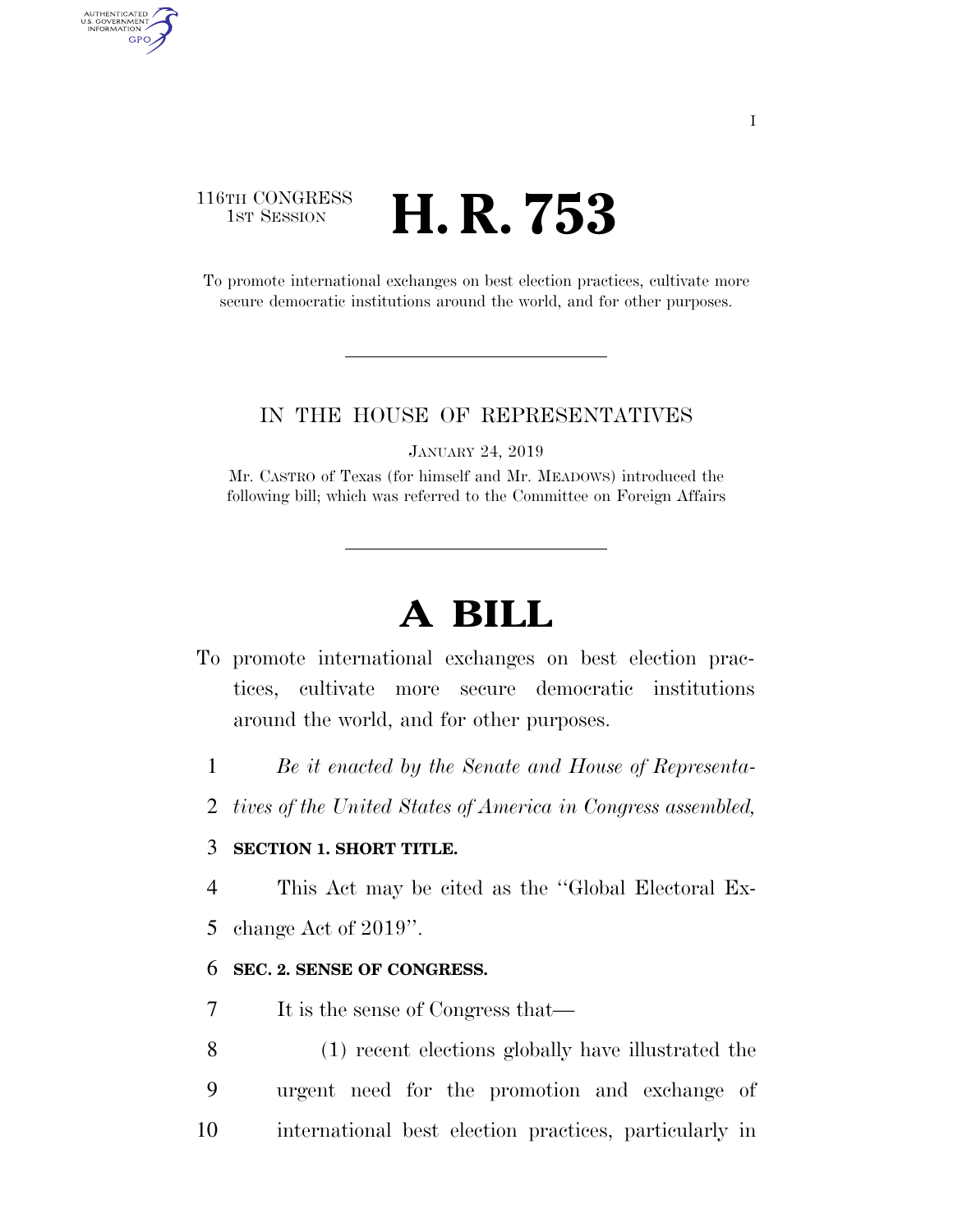# 116TH CONGRESS **1st Session H. R. 753**

AUTHENTICATED U.S. GOVERNMENT **GPO** 

> To promote international exchanges on best election practices, cultivate more secure democratic institutions around the world, and for other purposes.

## IN THE HOUSE OF REPRESENTATIVES

JANUARY 24, 2019

Mr. CASTRO of Texas (for himself and Mr. MEADOWS) introduced the following bill; which was referred to the Committee on Foreign Affairs

# **A BILL**

- To promote international exchanges on best election practices, cultivate more secure democratic institutions around the world, and for other purposes.
	- 1 *Be it enacted by the Senate and House of Representa-*
	- 2 *tives of the United States of America in Congress assembled,*

# 3 **SECTION 1. SHORT TITLE.**

4 This Act may be cited as the ''Global Electoral Ex-

5 change Act of 2019''.

#### 6 **SEC. 2. SENSE OF CONGRESS.**

- 7 It is the sense of Congress that—
- 8 (1) recent elections globally have illustrated the 9 urgent need for the promotion and exchange of 10 international best election practices, particularly in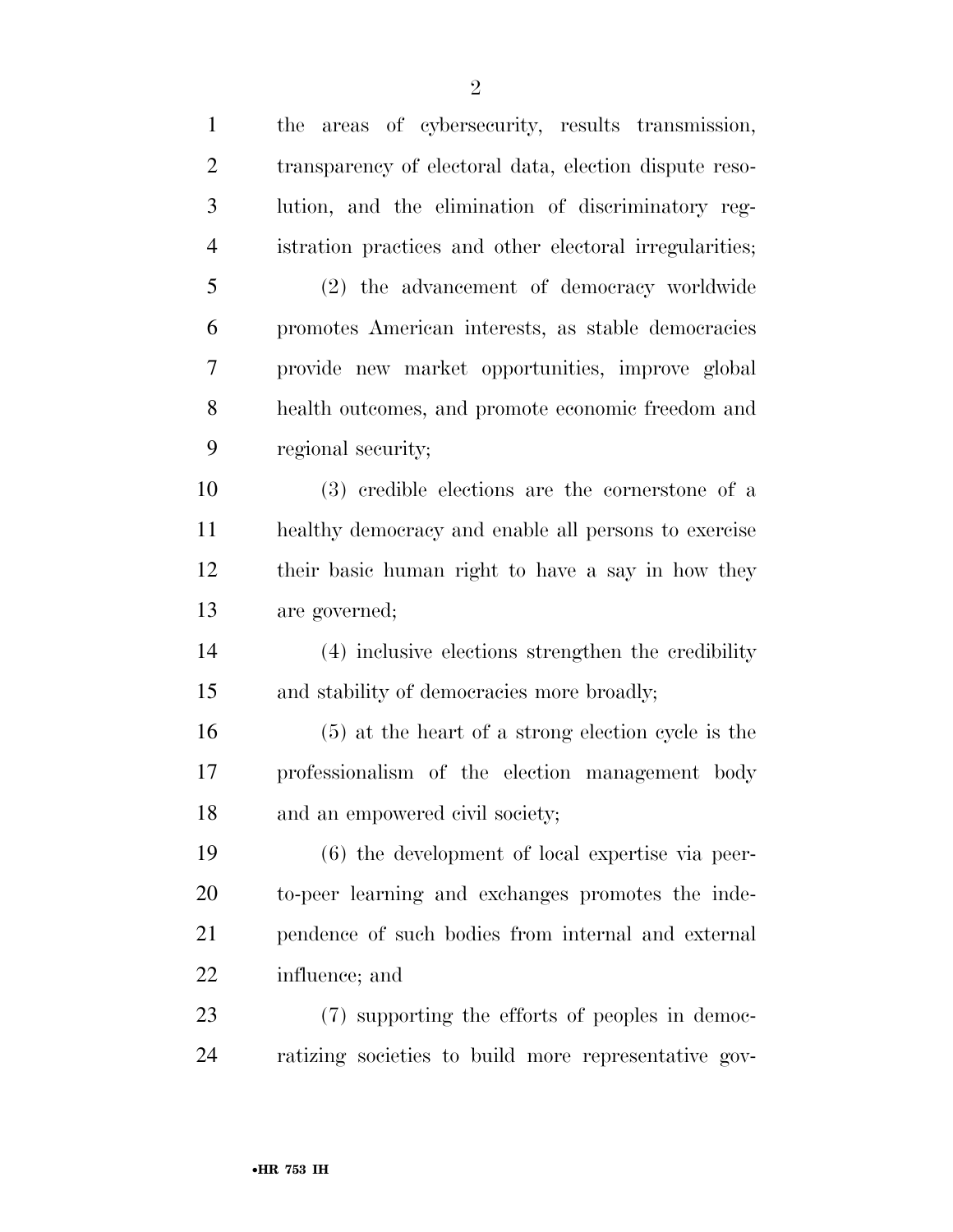the areas of cybersecurity, results transmission, transparency of electoral data, election dispute reso- lution, and the elimination of discriminatory reg- istration practices and other electoral irregularities; (2) the advancement of democracy worldwide promotes American interests, as stable democracies provide new market opportunities, improve global health outcomes, and promote economic freedom and regional security; (3) credible elections are the cornerstone of a healthy democracy and enable all persons to exercise their basic human right to have a say in how they are governed; (4) inclusive elections strengthen the credibility and stability of democracies more broadly; (5) at the heart of a strong election cycle is the professionalism of the election management body and an empowered civil society; (6) the development of local expertise via peer- to-peer learning and exchanges promotes the inde- pendence of such bodies from internal and external influence; and (7) supporting the efforts of peoples in democ-ratizing societies to build more representative gov-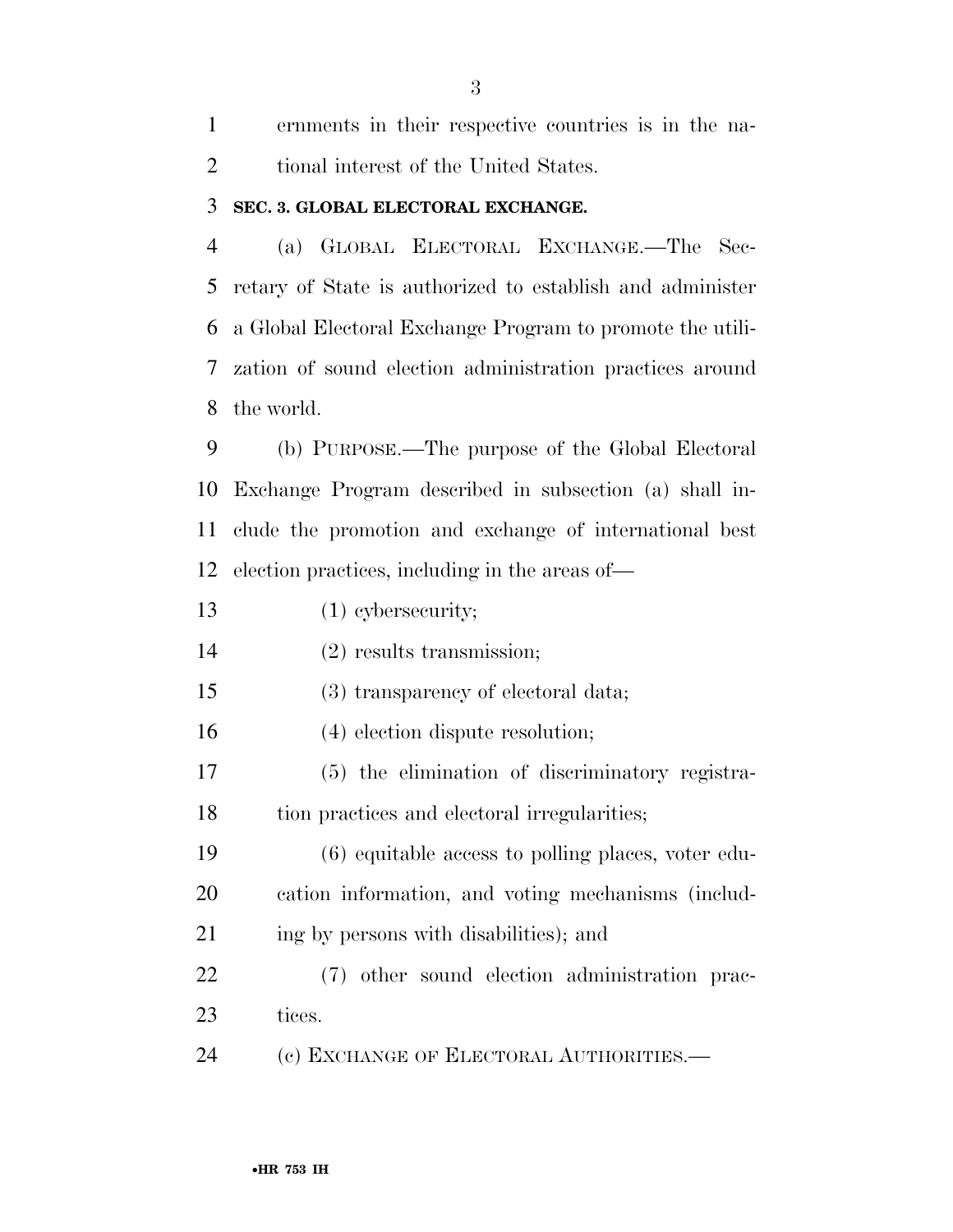ernments in their respective countries is in the na-2 tional interest of the United States.

#### **SEC. 3. GLOBAL ELECTORAL EXCHANGE.**

 (a) GLOBAL ELECTORAL EXCHANGE.—The Sec- retary of State is authorized to establish and administer a Global Electoral Exchange Program to promote the utili- zation of sound election administration practices around the world.

 (b) PURPOSE.—The purpose of the Global Electoral Exchange Program described in subsection (a) shall in- clude the promotion and exchange of international best election practices, including in the areas of—

(1) cybersecurity;

(2) results transmission;

(3) transparency of electoral data;

(4) election dispute resolution;

 (5) the elimination of discriminatory registra-tion practices and electoral irregularities;

 (6) equitable access to polling places, voter edu- cation information, and voting mechanisms (includ-21 ing by persons with disabilities); and

 (7) other sound election administration prac-tices.

(c) EXCHANGE OF ELECTORAL AUTHORITIES.—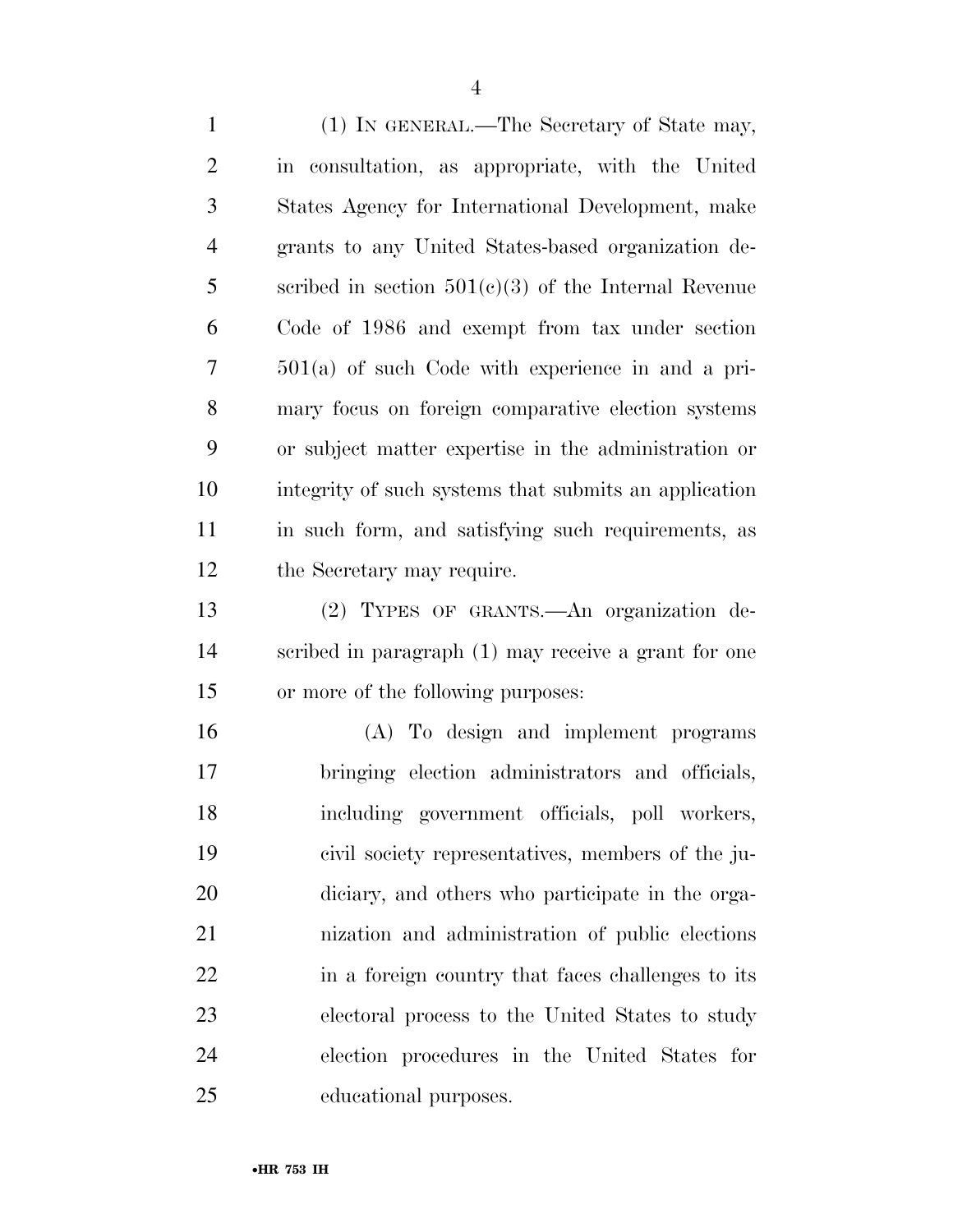(1) IN GENERAL.—The Secretary of State may, in consultation, as appropriate, with the United States Agency for International Development, make grants to any United States-based organization de- scribed in section 501(c)(3) of the Internal Revenue Code of 1986 and exempt from tax under section 501(a) of such Code with experience in and a pri- mary focus on foreign comparative election systems or subject matter expertise in the administration or integrity of such systems that submits an application in such form, and satisfying such requirements, as the Secretary may require. (2) TYPES OF GRANTS.—An organization de- scribed in paragraph (1) may receive a grant for one or more of the following purposes: (A) To design and implement programs

 bringing election administrators and officials, including government officials, poll workers, civil society representatives, members of the ju- diciary, and others who participate in the orga- nization and administration of public elections 22 in a foreign country that faces challenges to its electoral process to the United States to study election procedures in the United States for educational purposes.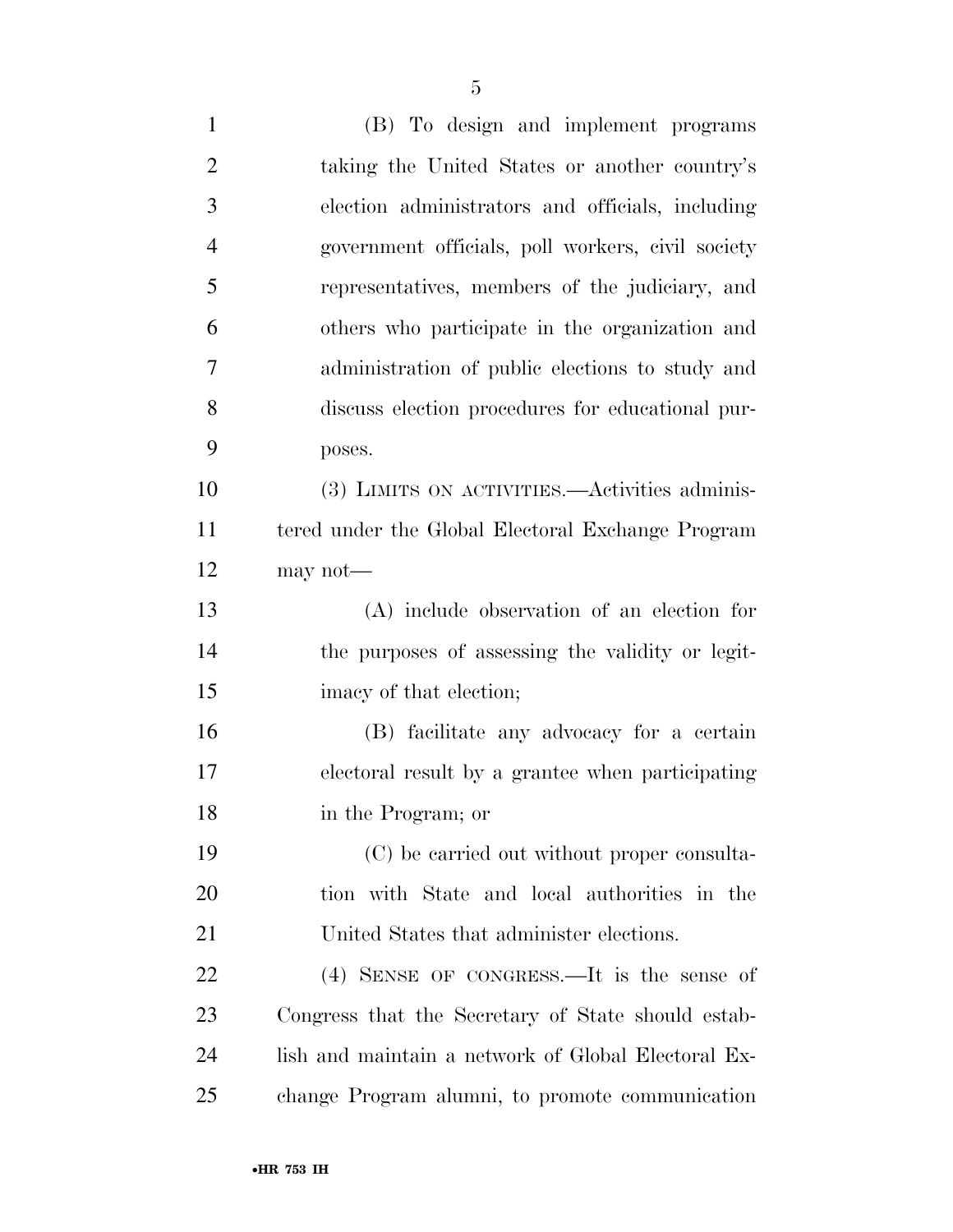(B) To design and implement programs taking the United States or another country's election administrators and officials, including government officials, poll workers, civil society representatives, members of the judiciary, and others who participate in the organization and administration of public elections to study and discuss election procedures for educational pur- poses. (3) LIMITS ON ACTIVITIES.—Activities adminis- tered under the Global Electoral Exchange Program may not— (A) include observation of an election for the purposes of assessing the validity or legit- imacy of that election; (B) facilitate any advocacy for a certain electoral result by a grantee when participating in the Program; or (C) be carried out without proper consulta- tion with State and local authorities in the United States that administer elections. (4) SENSE OF CONGRESS.—It is the sense of Congress that the Secretary of State should estab- lish and maintain a network of Global Electoral Ex-change Program alumni, to promote communication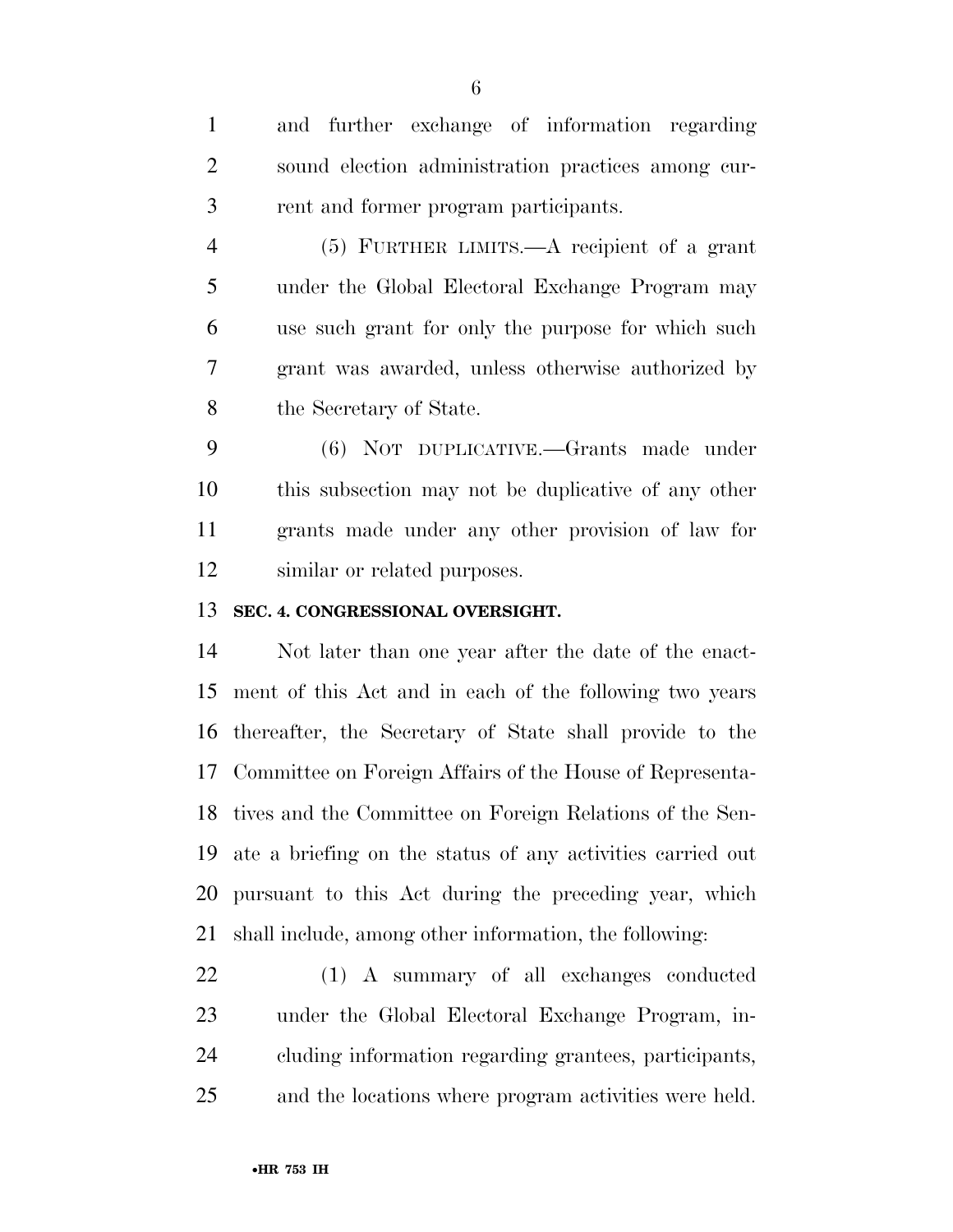and further exchange of information regarding sound election administration practices among cur-rent and former program participants.

 (5) FURTHER LIMITS.—A recipient of a grant under the Global Electoral Exchange Program may use such grant for only the purpose for which such grant was awarded, unless otherwise authorized by the Secretary of State.

 (6) NOT DUPLICATIVE.—Grants made under this subsection may not be duplicative of any other grants made under any other provision of law for similar or related purposes.

# **SEC. 4. CONGRESSIONAL OVERSIGHT.**

 Not later than one year after the date of the enact- ment of this Act and in each of the following two years thereafter, the Secretary of State shall provide to the Committee on Foreign Affairs of the House of Representa- tives and the Committee on Foreign Relations of the Sen- ate a briefing on the status of any activities carried out pursuant to this Act during the preceding year, which shall include, among other information, the following:

 (1) A summary of all exchanges conducted under the Global Electoral Exchange Program, in- cluding information regarding grantees, participants, and the locations where program activities were held.